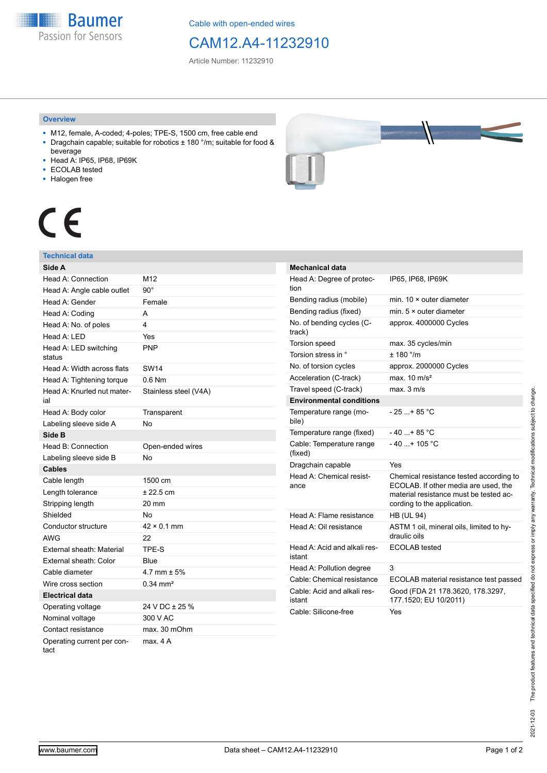**Baumer** Passion for Sensors

Cable with open-ended wires

# CAM12.A4-11232910

Article Number: 11232910

### **Overview**

- M12, female, A-coded; 4-poles; TPE-S, 1500 cm, free cable end ■ Dragchain capable; suitable for robotics ± 180 °/m; suitable for food &
- beverage
- Head A: IP65, IP68, IP69K
- ECOLAB tested
- Halogen free



# CE

## **Technical data**

| Side A                             |                       |
|------------------------------------|-----------------------|
| Head A: Connection                 | M12                   |
| Head A: Angle cable outlet         | $90^{\circ}$          |
| Head A: Gender                     | Female                |
| Head A: Coding                     | A                     |
| Head A: No. of poles               | 4                     |
| Head A: LED                        | Yes                   |
| Head A: LED switching<br>status    | PNP                   |
| Head A: Width across flats         | <b>SW14</b>           |
| Head A: Tightening torque          | $0.6$ Nm              |
| Head A: Knurled nut mater-<br>ial  | Stainless steel (V4A) |
| Head A: Body color                 | Transparent           |
| Labeling sleeve side A             | No                    |
| Side B                             |                       |
| Head B: Connection                 | Open-ended wires      |
| Labeling sleeve side B             | No                    |
| <b>Cables</b>                      |                       |
| Cable length                       | 1500 cm               |
| Length tolerance                   | ± 22.5 cm             |
| Stripping length                   | 20 mm                 |
| Shielded                           | No                    |
| Conductor structure                | $42 \times 0.1$ mm    |
| <b>AWG</b>                         | 22                    |
| External sheath: Material          | TPE-S                 |
| External sheath: Color             | Blue                  |
| Cable diameter                     | 4.7 mm $\pm$ 5%       |
| Wire cross section                 | $0.34 \, \text{mm}^2$ |
| <b>Electrical data</b>             |                       |
| Operating voltage                  | 24 V DC ± 25 %        |
| Nominal voltage                    | 300 V AC              |
| Contact resistance                 | max. 30 mOhm          |
| Operating current per con-<br>tact | max. 4 A              |

| <b>Mechanical data</b>                 |                                                                                                                                                          |
|----------------------------------------|----------------------------------------------------------------------------------------------------------------------------------------------------------|
| Head A: Degree of protec-<br>tion      | IP65, IP68, IP69K                                                                                                                                        |
| Bending radius (mobile)                | min. 10 × outer diameter                                                                                                                                 |
| Bending radius (fixed)                 | min. $5 \times$ outer diameter                                                                                                                           |
| No. of bending cycles (C-<br>track)    | approx. 4000000 Cycles                                                                                                                                   |
| Torsion speed                          | max. 35 cycles/min                                                                                                                                       |
| Torsion stress in °                    | $+ 180$ $^{\circ}$ /m                                                                                                                                    |
| No. of torsion cycles                  | approx. 2000000 Cycles                                                                                                                                   |
| Acceleration (C-track)                 | max. $10 \text{ m/s}^2$                                                                                                                                  |
| Travel speed (C-track)                 | max. 3 m/s                                                                                                                                               |
| <b>Environmental conditions</b>        |                                                                                                                                                          |
| Temperature range (mo-<br>bile)        | $-25+85$ °C                                                                                                                                              |
| Temperature range (fixed)              | $-40+85 °C$                                                                                                                                              |
| Cable: Temperature range<br>(fixed)    | $-40$ + 105 °C                                                                                                                                           |
| Dragchain capable                      | Yes                                                                                                                                                      |
| Head A: Chemical resist-<br>ance       | Chemical resistance tested according to<br>ECOLAB. If other media are used, the<br>material resistance must be tested ac-<br>cording to the application. |
| Head A: Flame resistance               | <b>HB (UL 94)</b>                                                                                                                                        |
| Head A: Oil resistance                 | ASTM 1 oil, mineral oils, limited to hy-<br>draulic oils                                                                                                 |
| Head A: Acid and alkali res-<br>istant | <b>ECOLAB</b> tested                                                                                                                                     |
| Head A: Pollution degree               | 3                                                                                                                                                        |
| Cable: Chemical resistance             | ECOLAB material resistance test passed                                                                                                                   |
| Cable: Acid and alkali res-<br>istant  | Good (FDA 21 178.3620, 178.3297,<br>177.1520; EU 10/2011)                                                                                                |
| Cable: Silicone-free                   | Yes                                                                                                                                                      |